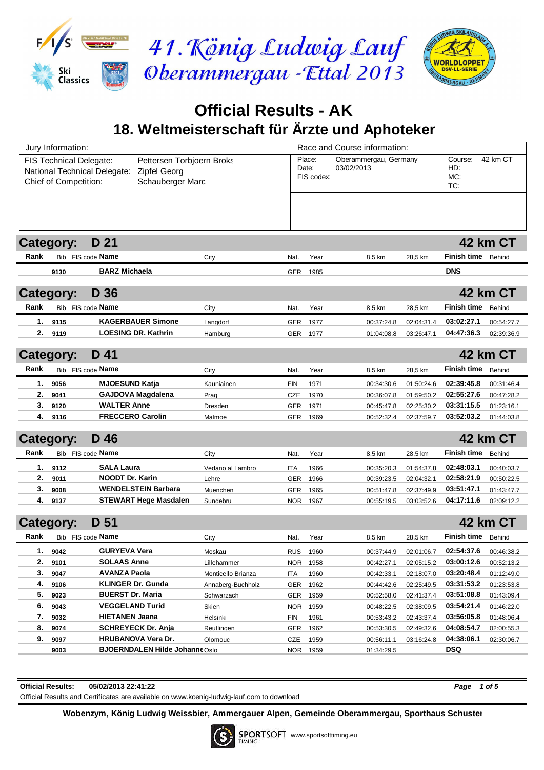

# **Official Results - AK 18. Weltmeisterschaft für Ärzte und Aphoteker**

| Jury Information:                                                                                                                                 |      |                                                                   |                    |                               | Race and Course information:        |            |                              |                          |                 |  |
|---------------------------------------------------------------------------------------------------------------------------------------------------|------|-------------------------------------------------------------------|--------------------|-------------------------------|-------------------------------------|------------|------------------------------|--------------------------|-----------------|--|
| FIS Technical Delegate:<br>Pettersen Torbjoern Broks<br>National Technical Delegate:<br>Zipfel Georg<br>Schauberger Marc<br>Chief of Competition: |      |                                                                   |                    | Place:<br>Date:<br>FIS codex: | Oberammergau, Germany<br>03/02/2013 |            | Course:<br>HD:<br>MC:<br>TC: | 42 km CT                 |                 |  |
|                                                                                                                                                   |      |                                                                   |                    |                               |                                     |            |                              |                          |                 |  |
| <b>Category:</b>                                                                                                                                  |      | D 21                                                              |                    |                               |                                     |            |                              |                          | 42 km CT        |  |
| Rank                                                                                                                                              |      | Bib FIS code <b>Name</b>                                          | City               | Nat.                          | Year                                | 8,5 km     | 28,5 km                      | Finish time              | Behind          |  |
|                                                                                                                                                   | 9130 | <b>BARZ Michaela</b>                                              |                    | <b>GER</b>                    | 1985                                |            |                              | <b>DNS</b>               |                 |  |
|                                                                                                                                                   |      |                                                                   |                    |                               |                                     |            |                              |                          |                 |  |
| Category:                                                                                                                                         |      | D 36                                                              |                    |                               |                                     |            |                              |                          | <b>42 km CT</b> |  |
| Rank                                                                                                                                              |      | Bib FIS code <b>Name</b>                                          | City               | Nat.                          | Year                                | 8,5 km     | 28,5 km                      | Finish time              | Behind          |  |
| 1.                                                                                                                                                | 9115 | <b>KAGERBAUER Simone</b>                                          | Langdorf           | <b>GER</b>                    | 1977                                | 00:37:24.8 | 02:04:31.4                   | 03:02:27.1               | 00:54:27.7      |  |
| 2.                                                                                                                                                | 9119 | <b>LOESING DR. Kathrin</b>                                        | Hamburg            | <b>GER</b>                    | 1977                                | 01:04:08.8 | 03:26:47.1                   | 04:47:36.3               | 02:39:36.9      |  |
| <b>Category:</b>                                                                                                                                  |      | D 41                                                              |                    |                               |                                     |            |                              |                          | <b>42 km CT</b> |  |
| Rank                                                                                                                                              |      | Bib FIS code Name                                                 | City               | Nat.                          | Year                                | 8,5 km     | 28,5 km                      | <b>Finish time</b>       | Behind          |  |
| 1.                                                                                                                                                | 9056 | <b>MJOESUND Katja</b>                                             | Kauniainen         | <b>FIN</b>                    | 1971                                | 00:34:30.6 | 01:50:24.6                   | 02:39:45.8               | 00:31:46.4      |  |
| 2.                                                                                                                                                | 9041 | <b>GAJDOVA Magdalena</b>                                          | Prag               | CZE                           | 1970                                | 00:36:07.8 | 01:59:50.2                   | 02:55:27.6               | 00:47:28.2      |  |
| 3.                                                                                                                                                | 9120 | <b>WALTER Anne</b>                                                | Dresden            | GER                           | 1971                                | 00:45:47.8 | 02:25:30.2                   | 03:31:15.5               | 01:23:16.1      |  |
| 4.                                                                                                                                                | 9116 | <b>FRECCERO Carolin</b>                                           | Malmoe             | GER                           | 1969                                | 00:52:32.4 | 02:37:59.7                   | 03:52:03.2               | 01:44:03.8      |  |
| Category:                                                                                                                                         |      | D 46                                                              |                    |                               |                                     |            |                              |                          | 42 km CT        |  |
| Rank                                                                                                                                              |      | Bib FIS code Name                                                 | City               | Nat.                          | Year                                | 8,5 km     | 28,5 km                      | <b>Finish time</b>       | Behind          |  |
| 1.                                                                                                                                                | 9112 | <b>SALA Laura</b>                                                 | Vedano al Lambro   | <b>ITA</b>                    | 1966                                | 00:35:20.3 | 01:54:37.8                   | 02:48:03.1               | 00:40:03.7      |  |
| 2.                                                                                                                                                | 9011 | <b>NOODT Dr. Karin</b>                                            | Lehre              | GER                           | 1966                                | 00:39:23.5 | 02:04:32.1                   | 02:58:21.9               | 00:50:22.5      |  |
| 3.                                                                                                                                                | 9008 | <b>WENDELSTEIN Barbara</b>                                        | Muenchen           | GER                           | 1965                                | 00:51:47.8 | 02:37:49.9                   | 03:51:47.1               | 01:43:47.7      |  |
| 4.                                                                                                                                                | 9137 | <b>STEWART Hege Masdalen</b>                                      | Sundebru           | NOR.                          | 1967                                | 00:55:19.5 | 03:03:52.6                   | 04:17:11.6               | 02:09:12.2      |  |
|                                                                                                                                                   |      |                                                                   |                    |                               |                                     |            |                              |                          |                 |  |
| <b>Category:</b>                                                                                                                                  |      | D 51                                                              |                    |                               |                                     |            |                              |                          | <b>42 km CT</b> |  |
| Rank                                                                                                                                              |      | Bib FIS code Name                                                 | City               | Nat.                          | Year                                | 8,5 km     | 28,5 km                      | Finish time              | Behind          |  |
| 1.                                                                                                                                                | 9042 | <b>GURYEVA Vera</b>                                               | Moskau             | <b>RUS</b>                    | <u> 1960</u>                        | 00:37:44.9 | 02:01:06.7                   | 02:54:37.6               | 00:46:38.2      |  |
| 2.                                                                                                                                                | 9101 | <b>SOLAAS Anne</b>                                                | Lillehammer        | NOR.                          | 1958                                | 00:42:27.1 | 02:05:15.2                   | 03:00:12.6               | 00:52:13.2      |  |
| 3.                                                                                                                                                | 9047 | <b>AVANZA Paola</b>                                               | Monticello Brianza | ITA                           | 1960                                | 00:42:33.1 | 02:18:07.0                   | 03:20:48.4               | 01:12:49.0      |  |
| 4.                                                                                                                                                | 9106 | <b>KLINGER Dr. Gunda</b>                                          | Annaberg-Buchholz  | <b>GER</b>                    | 1962                                | 00:44:42.6 | 02:25:49.5                   | 03:31:53.2               | 01:23:53.8      |  |
| 5.                                                                                                                                                | 9023 | <b>BUERST Dr. Maria</b>                                           | Schwarzach         | <b>GER</b>                    | 1959                                | 00:52:58.0 | 02:41:37.4                   | 03:51:08.8               | 01:43:09.4      |  |
| 6.                                                                                                                                                | 9043 | <b>VEGGELAND Turid</b>                                            | Skien              | NOR.                          | 1959                                | 00:48:22.5 | 02:38:09.5                   | 03:54:21.4               | 01:46:22.0      |  |
| 7.                                                                                                                                                | 9032 | <b>HIETANEN Jaana</b>                                             | Helsinki           | <b>FIN</b>                    | 1961                                | 00:53:43.2 | 02:43:37.4                   | 03:56:05.8               | 01:48:06.4      |  |
| 8.                                                                                                                                                | 9074 | <b>SCHREYECK Dr. Anja</b>                                         | Reutlingen         | <b>GER</b>                    | 1962                                | 00:53:30.5 | 02:49:32.6                   | 04:08:54.7<br>04:38:06.1 | 02:00:55.3      |  |
| 9.                                                                                                                                                | 9097 | <b>HRUBANOVA Vera Dr.</b><br><b>BJOERNDALEN Hilde JohanneOslo</b> | Olomouc            | <b>CZE</b>                    | 1959                                | 00:56:11.1 | 03:16:24.8                   | DSQ                      | 02:30:06.7      |  |
|                                                                                                                                                   | 9003 |                                                                   |                    | <b>NOR</b>                    | 1959                                | 01:34:29.5 |                              |                          |                 |  |

**Official Results: 05/02/2013 22:41:22** *Page 1 of 5*

Official Results and Certificates are available on www.koenig-ludwig-lauf.com to download

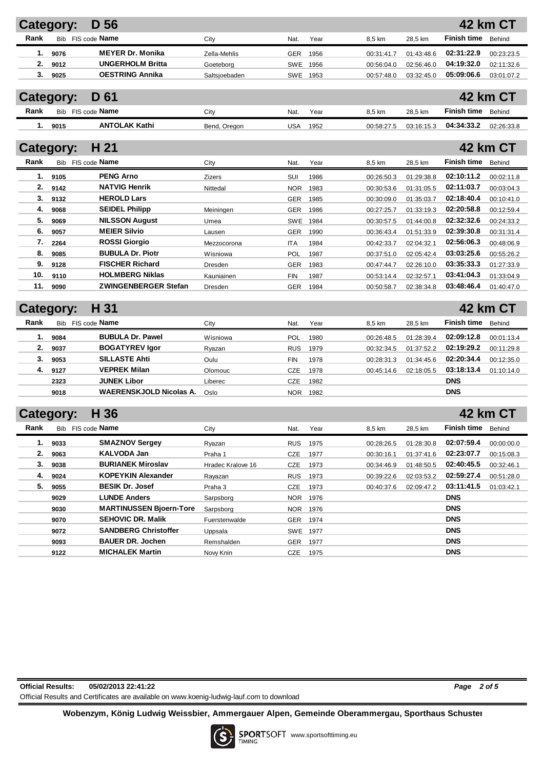|      | Category:                | D 56                           |                   |            |          |            |            |                    | <b>42 km CT</b> |
|------|--------------------------|--------------------------------|-------------------|------------|----------|------------|------------|--------------------|-----------------|
| Rank | Bib FIS code Name        |                                | City              | Nat.       | Year     | 8,5 km     | 28,5 km    | <b>Finish time</b> | Behind          |
| 1.   | 9076                     | <b>MEYER Dr. Monika</b>        | Zella-Mehlis      | GER        | 1956     | 00:31:41.7 | 01:43:48.6 | 02:31:22.9         | 00:23:23.5      |
| 2.   | 9012                     | <b>UNGERHOLM Britta</b>        | Goeteborg         | SWE        | 1956     | 00:56:04.0 | 02:56:46.0 | 04:19:32.0         | 02:11:32.6      |
| 3.   | 9025                     | <b>OESTRING Annika</b>         | Saltsjoebaden     | SWE        | 1953     | 00:57:48.0 | 03:32:45.0 | 05:09:06.6         | 03:01:07.2      |
|      |                          |                                |                   |            |          |            |            |                    |                 |
|      | <b>Category:</b>         | D 61                           |                   |            |          |            |            |                    | <b>42 km CT</b> |
| Rank | Bib FIS code Name        |                                | City              | Nat.       | Year     | 8,5 km     | 28,5 km    | <b>Finish time</b> | Behind          |
| 1.   | 9015                     | <b>ANTOLAK Kathi</b>           | Bend, Oregon      | <b>USA</b> | 1952     | 00:58:27.5 | 03:16:15.3 | 04:34:33.2         | 02:26:33.8      |
|      |                          |                                |                   |            |          |            |            |                    |                 |
|      | <b>Category:</b>         | H 21                           |                   |            |          |            |            |                    | 42 km CT        |
| Rank | Bib FIS code Name        |                                | City              | Nat.       | Year     | 8,5 km     | 28,5 km    | <b>Finish time</b> | Behind          |
| 1.   | 9105                     | <b>PENG Arno</b>               | <b>Zizers</b>     | SUI        | 1986     | 00:26:50.3 | 01:29:38.8 | 02:10:11.2         | 00:02:11.8      |
| 2.   | 9142                     | <b>NATVIG Henrik</b>           | Nittedal          | <b>NOR</b> | 1983     | 00:30:53.6 | 01:31:05.5 | 02:11:03.7         | 00:03:04.3      |
| 3.   | 9132                     | <b>HEROLD Lars</b>             |                   | GER        | 1985     | 00:30:09.0 | 01:35:03.7 | 02:18:40.4         | 00:10:41.0      |
| 4.   | 9068                     | <b>SEIDEL Philipp</b>          | Meiningen         | GER        | 1986     | 00:27:25.7 | 01:33:19.3 | 02:20:58.8         | 00:12:59.4      |
| 5.   | 9069                     | <b>NILSSON August</b>          | Umea              | SWE        | 1984     | 00:30:57.5 | 01:44:00.8 | 02:32:32.6         | 00:24:33.2      |
| 6.   | 9057                     | <b>MEIER Silvio</b>            | Lausen            | GER        | 1990     | 00:36:43.4 | 01:51:33.9 | 02:39:30.8         | 00:31:31.4      |
| 7.   | 2264                     | <b>ROSSI Giorgio</b>           | Mezzocorona       | <b>ITA</b> | 1984     | 00:42:33.7 | 02:04:32.1 | 02:56:06.3         | 00:48:06.9      |
| 8.   | 9085                     | <b>BUBULA Dr. Piotr</b>        | Wisniowa          | POL        | 1987     | 00:37:51.0 | 02:05:42.4 | 03:03:25.6         | 00:55:26.2      |
| 9.   | 9128                     | <b>FISCHER Richard</b>         | Dresden           | <b>GER</b> | 1983     | 00:47:44.7 | 02:26:10.0 | 03:35:33.3         | 01:27:33.9      |
| 10.  | 9110                     | <b>HOLMBERG Niklas</b>         | Kauniainen        | <b>FIN</b> | 1987     | 00:53:14.4 | 02:32:57.1 | 03:41:04.3         | 01:33:04.9      |
| 11.  | 9090                     | <b>ZWINGENBERGER Stefan</b>    | Dresden           | GER        | 1984     | 00:50:58.7 | 02:38:34.8 | 03:48:46.4         | 01:40:47.0      |
|      |                          |                                |                   |            |          |            |            |                    |                 |
|      | <b>Category:</b>         | H 31                           |                   |            |          |            |            |                    | <b>42 km CT</b> |
| Rank | Bib FIS code <b>Name</b> |                                | City              | Nat.       | Year     | 8,5 km     | 28,5 km    | <b>Finish time</b> | Behind          |
| 1.   | 9084                     | <b>BUBULA Dr. Pawel</b>        | Wisniowa          | POL        | 1980     | 00:26:48.5 | 01:28:39.4 | 02:09:12.8         | 00:01:13.4      |
| 2.   | 9037                     | <b>BOGATYREV Igor</b>          | Ryazan            | <b>RUS</b> | 1979     | 00:32:34.5 | 01:37:52.2 | 02:19:29.2         | 00:11:29.8      |
| 3.   | 9053                     | <b>SILLASTE Ahti</b>           | Oulu              | <b>FIN</b> | 1978     | 00:28:31.3 | 01:34:45.6 | 02:20:34.4         | 00:12:35.0      |
| 4.   | 9127                     | <b>VEPREK Milan</b>            | Olomouc           | <b>CZE</b> | 1978     | 00:45:14.6 | 02:18:05.5 | 03:18:13.4         | 01:10:14.0      |
|      | 2323                     | <b>JUNEK Libor</b>             | Liberec           | CZE        | 1982     |            |            | <b>DNS</b>         |                 |
|      | 9018                     | <b>WAERENSKJOLD Nicolas A.</b> | Oslo              | <b>NOR</b> | 1982     |            |            | <b>DNS</b>         |                 |
|      |                          |                                |                   |            |          |            |            |                    |                 |
|      | <b>Category:</b>         | H 36                           |                   |            |          |            |            |                    | 42 km CT        |
| Rank | Bib                      | FIS code <b>Name</b>           | City              | Nat.       | Year     | 8,5 km     | 28,5 km    | Finish time        | Behind          |
| 1.   | 9033                     | <b>SMAZNOV Sergey</b>          | Ryazan            | <b>RUS</b> | 1975     | 00:28:26.5 | 01:28:30.8 | 02:07:59.4         | 00:00:00.0      |
| 2.   | 9063                     | KALVODA Jan                    | Praha 1           | <b>CZE</b> | 1977     | 00:30:16.1 | 01:37:41.6 | 02:23:07.7         | 00:15:08.3      |
| 3.   | 9038                     | <b>BURIANEK Miroslav</b>       | Hradec Kralove 16 | <b>CZE</b> | 1973     | 00:34:46.9 | 01:48:50.5 | 02:40:45.5         | 00:32:46.1      |
| 4.   | 9024                     | <b>KOPEYKIN Alexander</b>      | Rayazan           | <b>RUS</b> | 1973     | 00:39:22.6 | 02:03:53.2 | 02:59:27.4         | 00:51:28.0      |
| 5.   | 9055                     | <b>BESIK Dr. Josef</b>         | Praha 3           | CZE        | 1973     | 00:40:37.6 | 02:09:47.2 | 03:11:41.5         | 01:03:42.1      |
|      | 9029                     | <b>LUNDE Anders</b>            | Sarpsborg         |            | NOR 1976 |            |            | <b>DNS</b>         |                 |
|      | 9030                     | <b>MARTINUSSEN Bjoern-Tore</b> | Sarpsborg         |            | NOR 1976 |            |            | <b>DNS</b>         |                 |
|      | 9070                     | <b>SEHOVIC DR. Malik</b>       | Fuerstenwalde     |            | GER 1974 |            |            | <b>DNS</b>         |                 |
|      | 9072                     | <b>SANDBERG Christoffer</b>    | Uppsala           |            | SWE 1977 |            |            | <b>DNS</b>         |                 |
|      | 9093                     | <b>BAUER DR. Jochen</b>        | Remshalden        |            | GER 1977 |            |            | <b>DNS</b>         |                 |

**Official Results: 05/02/2013 22:41:22** *Page 2 of 5* Official Results and Certificates are available on www.koenig-ludwig-lauf.com to download

**Wobenzym, König Ludwig Weissbier, Ammergauer Alpen, Gemeinde Oberammergau, Sporthaus Schuster**

**9122 MICHALEK Martin** Novy Knin CZE 1975 **DNS**

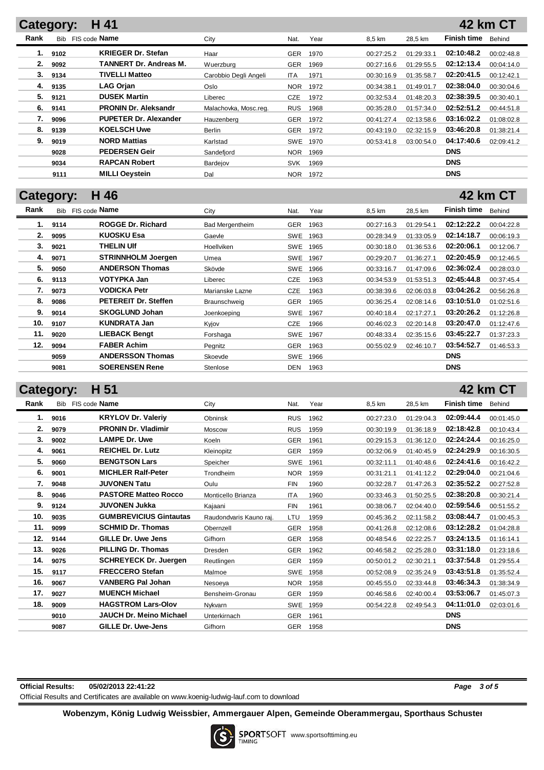### **Category: H 41 Rank** Bib FIS code **Name City** City **Nat. Year 8,5 km 28,5 km Finish time** Behind **42 km CT 1. 9102 KRIEGER Dr. Stefan** Haar GER 1970 00:27:25.2 01:29:33.1 **02:10:48.2** 00:02:48.8 **2. 9092 TANNERT Dr. Andreas M.** Wuerzburg GER 1969 00:27:16.6 01:29:55.5 **02:12:13.4** 00:04:14.0 **3. 9134 TIVELLI Matteo** Carobbio Degli Angeli ITA 1971 00:30:16.9 01:35:58.7 **02:20:41.5** 00:12:42.1 **4. 9135 LAG Orjan** Oslo NOR 1972 00:34:38.1 01:49:01.7 **02:38:04.0** 00:30:04.6 **5. 9121 DUSEK Martin** Liberec CZE 1972 00:32:53.4 01:48:20.3 **02:38:39.5** 00:30:40.1 **6. 9141 PRONIN Dr. Aleksandr** Malachovka, Mosc.reg. RUS 1968 00:35:28.0 01:57:34.0 **02:52:51.2** 00:44:51.8 **7. 9096 PUPETER Dr. Alexander** Hauzenberg GER 1972 00:41:27.4 02:13:58.6 **03:16:02.2** 01:08:02.8 **8. 9139 KOELSCH Uwe** Berlin GER 1972 00:43:19.0 02:32:15.9 **03:46:20.8** 01:38:21.4 **9. 9019 NORD Mattias** Karlstad SWE 1970 00:53:41.8 03:00:54.0 **04:17:40.6** 02:09:41.2 **9028 PEDERSEN Geir** Sandefjord NOR 1969 **DNS 9034 RAPCAN Robert** Bardejov SVK 1969 **DNS 9111 MILLI Oeystein Dal** Dal NOR 1972 **DNS**

## **Category: H 46**

## **42 km CT**

**42 km CT**

| Rank |      | Bib FIS code Name           | City                   | Nat.       | Year | 8,5 km     | 28,5 km    | <b>Finish time</b> | Behind     |
|------|------|-----------------------------|------------------------|------------|------|------------|------------|--------------------|------------|
| 1.   | 9114 | <b>ROGGE Dr. Richard</b>    | <b>Bad Mergentheim</b> | GER        | 1963 | 00:27:16.3 | 01:29:54.1 | 02:12:22.2         | 00:04:22.8 |
| 2.   | 9095 | KUOSKU Esa                  | Gaevle                 | SWE        | 1963 | 00:28:34.9 | 01:33:05.9 | 02:14:18.7         | 00:06:19.3 |
| 3.   | 9021 | <b>THELIN UIf</b>           | Hoellviken             | SWE        | 1965 | 00:30:18.0 | 01:36:53.6 | 02:20:06.1         | 00:12:06.7 |
| 4.   | 9071 | <b>STRINNHOLM Joergen</b>   | Umea                   | SWE        | 1967 | 00:29:20.7 | 01:36:27.1 | 02:20:45.9         | 00:12:46.5 |
| 5.   | 9050 | <b>ANDERSON Thomas</b>      | Skövde                 | SWE        | 1966 | 00:33:16.7 | 01:47:09.6 | 02:36:02.4         | 00:28:03.0 |
| 6.   | 9113 | VOTYPKA Jan                 | Liberec                | <b>CZE</b> | 1963 | 00:34:53.9 | 01:53:51.3 | 02:45:44.8         | 00:37:45.4 |
| 7.   | 9073 | <b>VODICKA Petr</b>         | Marianske Lazne        | <b>CZE</b> | 1963 | 00:38:39.6 | 02:06:03.8 | 03:04:26.2         | 00:56:26.8 |
| 8.   | 9086 | <b>PETEREIT Dr. Steffen</b> | Braunschweig           | <b>GER</b> | 1965 | 00:36:25.4 | 02:08:14.6 | 03:10:51.0         | 01:02:51.6 |
| 9.   | 9014 | <b>SKOGLUND Johan</b>       | Joenkoeping            | SWE        | 1967 | 00:40:18.4 | 02:17:27.1 | 03:20:26.2         | 01:12:26.8 |
| 10.  | 9107 | <b>KUNDRATA Jan</b>         | Kyjov                  | CZE        | 1966 | 00:46:02.3 | 02:20:14.8 | 03:20:47.0         | 01:12:47.6 |
| 11.  | 9020 | <b>LIEBACK Bengt</b>        | Forshaga               | <b>SWE</b> | 1967 | 00:48:33.4 | 02:35:15.6 | 03:45:22.7         | 01:37:23.3 |
| 12.  | 9094 | <b>FABER Achim</b>          | Pegnitz                | <b>GER</b> | 1963 | 00:55:02.9 | 02:46:10.7 | 03:54:52.7         | 01:46:53.3 |
|      | 9059 | <b>ANDERSSON Thomas</b>     | Skoevde                | <b>SWE</b> | 1966 |            |            | <b>DNS</b>         |            |
|      | 9081 | <b>SOERENSEN Rene</b>       | Stenlose               | DEN        | 1963 |            |            | <b>DNS</b>         |            |

## **Category: H 51**

| oalogor y . |      | .                              |                         |            |      |            |            |                    | TL IVIII VI |
|-------------|------|--------------------------------|-------------------------|------------|------|------------|------------|--------------------|-------------|
| Rank        |      | Bib FIS code <b>Name</b>       | City                    | Nat.       | Year | 8,5 km     | 28,5 km    | <b>Finish time</b> | Behind      |
| 1.          | 9016 | <b>KRYLOV Dr. Valeriy</b>      | <b>Obninsk</b>          | <b>RUS</b> | 1962 | 00:27:23.0 | 01:29:04.3 | 02:09:44.4         | 00:01:45.0  |
| 2.          | 9079 | <b>PRONIN Dr. Vladimir</b>     | <b>Moscow</b>           | <b>RUS</b> | 1959 | 00:30:19.9 | 01:36:18.9 | 02:18:42.8         | 00:10:43.4  |
| 3.          | 9002 | <b>LAMPE Dr. Uwe</b>           | Koeln                   | <b>GER</b> | 1961 | 00:29:15.3 | 01:36:12.0 | 02:24:24.4         | 00:16:25.0  |
| 4.          | 9061 | <b>REICHEL Dr. Lutz</b>        | Kleinopitz              | <b>GER</b> | 1959 | 00:32:06.9 | 01:40:45.9 | 02:24:29.9         | 00:16:30.5  |
| 5.          | 9060 | <b>BENGTSON Lars</b>           | Speicher                | <b>SWE</b> | 1961 | 00:32:11.1 | 01:40:48.6 | 02:24:41.6         | 00:16:42.2  |
| 6.          | 9001 | <b>MICHLER Ralf-Peter</b>      | Trondheim               | <b>NOR</b> | 1959 | 00:31:21.1 | 01:41:12.2 | 02:29:04.0         | 00:21:04.6  |
| 7.          | 9048 | <b>JUVONEN Tatu</b>            | Oulu                    | <b>FIN</b> | 1960 | 00:32:28.7 | 01:47:26.3 | 02:35:52.2         | 00:27:52.8  |
| 8.          | 9046 | <b>PASTORE Matteo Rocco</b>    | Monticello Brianza      | <b>ITA</b> | 1960 | 00:33:46.3 | 01:50:25.5 | 02:38:20.8         | 00:30:21.4  |
| 9.          | 9124 | <b>JUVONEN Jukka</b>           | Kajaani                 | <b>FIN</b> | 1961 | 00:38:06.7 | 02:04:40.0 | 02:59:54.6         | 00:51:55.2  |
| 10.         | 9035 | <b>GUMBREVICIUS Gintautas</b>  | Raudondvaris Kauno raj. | LTU        | 1959 | 00:45:36.2 | 02:11:58.2 | 03:08:44.7         | 01:00:45.3  |
| 11.         | 9099 | <b>SCHMID Dr. Thomas</b>       | Obernzell               | <b>GER</b> | 1958 | 00:41:26.8 | 02:12:08.6 | 03:12:28.2         | 01:04:28.8  |
| 12.         | 9144 | <b>GILLE Dr. Uwe Jens</b>      | Gifhorn                 | <b>GER</b> | 1958 | 00:48:54.6 | 02:22:25.7 | 03:24:13.5         | 01:16:14.1  |
| 13.         | 9026 | <b>PILLING Dr. Thomas</b>      | Dresden                 | <b>GER</b> | 1962 | 00:46:58.2 | 02:25:28.0 | 03:31:18.0         | 01:23:18.6  |
| 14.         | 9075 | <b>SCHREYECK Dr. Juergen</b>   | Reutlingen              | <b>GER</b> | 1959 | 00:50:01.2 | 02:30:21.1 | 03:37:54.8         | 01:29:55.4  |
| 15.         | 9117 | <b>FRECCERO Stefan</b>         | Malmoe                  | SWE        | 1958 | 00:52:08.9 | 02:35:24.9 | 03:43:51.8         | 01:35:52.4  |
| 16.         | 9067 | <b>VANBERG Pal Johan</b>       | Nesoeya                 | <b>NOR</b> | 1958 | 00:45:55.0 | 02:33:44.8 | 03:46:34.3         | 01:38:34.9  |
| 17.         | 9027 | <b>MUENCH Michael</b>          | Bensheim-Gronau         | <b>GER</b> | 1959 | 00:46:58.6 | 02:40:00.4 | 03:53:06.7         | 01:45:07.3  |
| 18.         | 9009 | <b>HAGSTROM Lars-Olov</b>      | <b>Nvkvarn</b>          | <b>SWE</b> | 1959 | 00:54:22.8 | 02:49:54.3 | 04:11:01.0         | 02:03:01.6  |
|             | 9010 | <b>JAUCH Dr. Meino Michael</b> | Unterkirnach            | <b>GER</b> | 1961 |            |            | <b>DNS</b>         |             |
|             | 9087 | <b>GILLE Dr. Uwe-Jens</b>      | Gifhorn                 | <b>GER</b> | 1958 |            |            | <b>DNS</b>         |             |

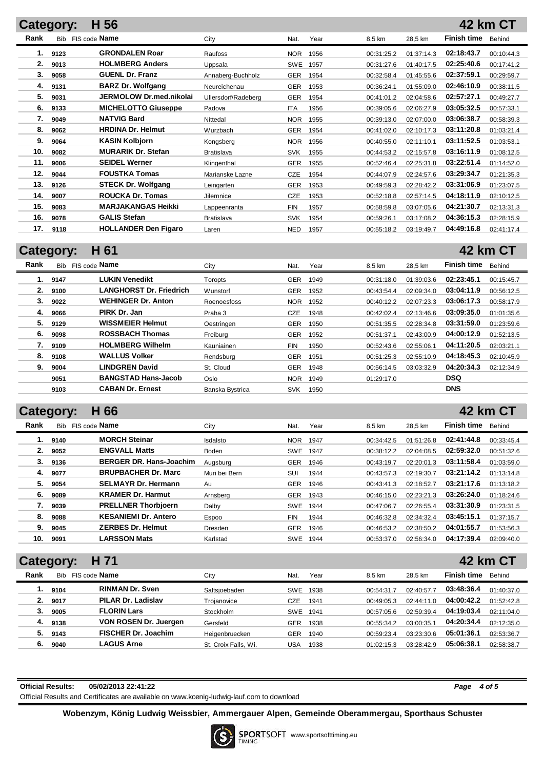#### **Category: H 56 Rank** Bib FIS code **Name City** City **Nat.** Year 8,5 km 28,5 km **Finish time** Behind **42 km CT** FIS code **Name Example 28.5 km** 28.5 km city **City City City Nat.** Year **28.5 km** 28.5 km **1. 9123 GRONDALEN Roar** Raufoss NOR 1956 00:31:25.2 01:37:14.3 **02:18:43.7** 00:10:44.3 **2. 9013 HOLMBERG Anders** Uppsala SWE 1957 00:31:27.6 01:40:17.5 **02:25:40.6** 00:17:41.2 **3. 9058 GUENL Dr. Franz** Annaberg-Buchholz GER 1954 00:32:58.4 01:45:55.6 **02:37:59.1** 00:29:59.7 **4. 9131 BARZ Dr. Wolfgang** Neureichenau GER 1953 00:36:24.1 01:55:09.0 **02:46:10.9** 00:38:11.5 **5. 9031 JERMOLOW Dr.med.nikolai** Ullersdorf/Radeberg GER 1954 00:41:01.2 02:04:58.6 **02:57:27.1** 00:49:27.7 **6. 9133 MICHELOTTO Giuseppe** Padova ITA 1956 00:39:05.6 02:06:27.9 **03:05:32.5** 00:57:33.1 **7. 9049 NATVIG Bard** Nittedal NOR 1955 00:39:13.0 02:07:00.0 **03:06:38.7** 00:58:39.3 **8. 9062 HRDINA Dr. Helmut** Wurzbach GER 1954 00:41:02.0 02:10:17.3 **03:11:20.8** 01:03:21.4 **9. 9064 KASIN Kolbjorn** Kongsberg NOR 1956 00:40:55.0 02:11:10.1 **03:11:52.5** 01:03:53.1 **10. 9082 MURARIK Dr. Stefan** Bratislava SVK 1955 00:44:53.2 02:15:57.8 **03:16:11.9** 01:08:12.5 **11. 9006 SEIDEL Werner** Klingenthal GER 1955 00:52:46.4 02:25:31.8 **03:22:51.4** 01:14:52.0 **12. 9044 FOUSTKA Tomas** Marianske Lazne CZE 1954 00:44:07.9 02:24:57.6 **03:29:34.7** 01:21:35.3 **13. 9126 STECK Dr. Wolfgang** Leingarten GER 1953 00:49:59.3 02:28:42.2 **03:31:06.9** 01:23:07.5 **14. 9007 ROUCKA Dr. Tomas** Jilemnice CZE 1953 00:52:18.8 02:57:14.5 **04:18:11.9** 02:10:12.5 **15. 9083 MARJAKANGAS Heikki** Lappeenranta FIN 1957 00:58:59.8 03:07:05.6 **04:21:30.7** 02:13:31.3 **16. 9078 GALIS Stefan** Bratislava SVK 1954 00:59:26.1 03:17:08.2 **04:36:15.3** 02:28:15.9 **17. 9118 HOLLANDER Den Figaro** Laren NED 1957 00:55:18.2 03:19:49.7 **04:49:16.8** 02:41:17.4

## **Category: H 61**

### **Rank** Bib FIS code **Name City** City **Nat. Year 8,5 km 28,5 km Finish time** Behind **42 km CT 1. 9147 LUKIN Venedikt** Toropts GER 1949 00:31:18.0 01:39:03.6 **02:23:45.1** 00:15:45.7 **2. 9100 LANGHORST Dr. Friedrich** Wunstorf GER 1952 00:43:54.4 02:09:34.0 **03:04:11.9** 00:56:12.5 **3. 9022 WEHINGER Dr. Anton** Roenoesfoss NOR 1952 00:40:12.2 02:07:23.3 **03:06:17.3** 00:58:17.9 **4. 9066 PIRK Dr. Jan** Praha 3 CZE 1948 00:42:02.4 02:13:46.6 **03:09:35.0** 01:01:35.6 **5. 9129 WISSMEIER Helmut** Oestringen GER 1950 00:51:35.5 02:28:34.8 **03:31:59.0** 01:23:59.6 **6. 9098 ROSSBACH Thomas** Freiburg GER 1952 00:51:37.1 02:43:00.9 **04:00:12.9** 01:52:13.5 **7. 9109 HOLMBERG Wilhelm** Kauniainen FIN 1950 00:52:43.6 02:55:06.1 **04:11:20.5** 02:03:21.1 **8. 9108 WALLUS Volker** Rendsburg GER 1951 00:51:25.3 02:55:10.9 **04:18:45.3** 02:10:45.9 **9. 9004 LINDGREN David** St. Cloud GER 1948 00:56:14.5 03:03:32.9 **04:20:34.3** 02:12:34.9 **9051 BANGSTAD Hans-Jacob** Oslo NOR 1949 01:29:17.0 **DSQ 9103 CABAN Dr. Ernest** Banska Bystrica SVK 1950 **DNS**

## **Category: H 66**

|      | ---  |                                |               |            |      |            |            |                    |            |
|------|------|--------------------------------|---------------|------------|------|------------|------------|--------------------|------------|
| Rank | Bib  | FIS code <b>Name</b>           | City          | Nat.       | Year | 8.5 km     | 28.5 km    | <b>Finish time</b> | Behind     |
| 1.   | 9140 | <b>MORCH Steinar</b>           | Isdalsto      | <b>NOR</b> | 1947 | 00:34:42.5 | 01:51:26.8 | 02:41:44.8         | 00:33:45.4 |
| 2.   | 9052 | <b>ENGVALL Matts</b>           | Boden         | <b>SWE</b> | 1947 | 00:38:12.2 | 02:04:08.5 | 02:59:32.0         | 00:51:32.6 |
| 3.   | 9136 | <b>BERGER DR. Hans-Joachim</b> | Augsburg      | <b>GER</b> | 1946 | 00:43:19.7 | 02:20:01.3 | 03:11:58.4         | 01:03:59.0 |
| 4.   | 9077 | <b>BRUPBACHER Dr. Marc</b>     | Muri bei Bern | SUI        | 1944 | 00:43:57.3 | 02:19:30.7 | 03:21:14.2         | 01:13:14.8 |
| 5.   | 9054 | <b>SELMAYR Dr. Hermann</b>     | Au            | <b>GER</b> | 1946 | 00:43:41.3 | 02:18:52.7 | 03:21:17.6         | 01:13:18.2 |
| 6.   | 9089 | <b>KRAMER Dr. Harmut</b>       | Arnsberg      | <b>GER</b> | 1943 | 00:46:15.0 | 02:23:21.3 | 03:26:24.0         | 01:18:24.6 |
| 7.   | 9039 | <b>PRELLNER Thorbjoern</b>     | Dalby         | <b>SWE</b> | 1944 | 00:47:06.7 | 02:26:55.4 | 03:31:30.9         | 01:23:31.5 |
| 8.   | 9088 | <b>KESANIEMI Dr. Antero</b>    | Espoo         | <b>FIN</b> | 1944 | 00:46:32.8 | 02:34:32.4 | 03:45:15.1         | 01:37:15.7 |
| 9.   | 9045 | <b>ZERBES Dr. Helmut</b>       | Dresden       | <b>GER</b> | 1946 | 00:46:53.2 | 02:38:50.2 | 04:01:55.7         | 01:53:56.3 |
| 10.  | 9091 | <b>LARSSON Mats</b>            | Karlstad      | <b>SWE</b> | 1944 | 00:53:37.0 | 02:56:34.0 | 04:17:39.4         | 02:09:40.0 |
|      |      |                                |               |            |      |            |            |                    |            |

| H 71<br>Category: |            |                            |                      |            |      |            |            |                    | <b>42 km CT</b> |
|-------------------|------------|----------------------------|----------------------|------------|------|------------|------------|--------------------|-----------------|
| Rank              | <b>Bib</b> | FIS code <b>Name</b>       | City                 | Nat.       | Year | 8.5 km     | 28.5 km    | <b>Finish time</b> | Behind          |
| ι.                | 9104       | <b>RINMAN Dr. Sven</b>     | Saltsjoebaden        | <b>SWE</b> | 1938 | 00:54:31.7 | 02:40:57.7 | 03:48:36.4         | 01:40:37.0      |
| 2.                | 9017       | <b>PILAR Dr. Ladislav</b>  | Trojanovice          | CZE        | 1941 | 00:49:05.3 | 02:44:11.0 | 04:00:42.2         | 01:52:42.8      |
| З.                | 9005       | <b>FLORIN Lars</b>         | Stockholm            | <b>SWE</b> | 1941 | 00:57:05.6 | 02:59:39.4 | 04:19:03.4         | 02:11:04.0      |
| 4.                | 9138       | VON ROSEN Dr. Juergen      | Gersfeld             | GER        | 1938 | 00:55:34.2 | 03:00:35.1 | 04:20:34.4         | 02:12:35.0      |
| 5.                | 9143       | <b>FISCHER Dr. Joachim</b> | Heigenbruecken       | GER        | 1940 | 00:59:23.4 | 03:23:30.6 | 05:01:36.1         | 02:53:36.7      |
| 6.                | 9040       | <b>LAGUS Arne</b>          | St. Croix Falls, Wi. | USA        | 1938 | 01:02:15.3 | 03:28:42.9 | 05:06:38.1         | 02:58:38.7      |

| <b>Official Results:</b> | 05/02/2013 22:41:22                                                                       | Page | 4 of 5 |
|--------------------------|-------------------------------------------------------------------------------------------|------|--------|
|                          | Official Results and Certificates are available on www.koenig-ludwig-lauf.com to download |      |        |

**42 km CT**